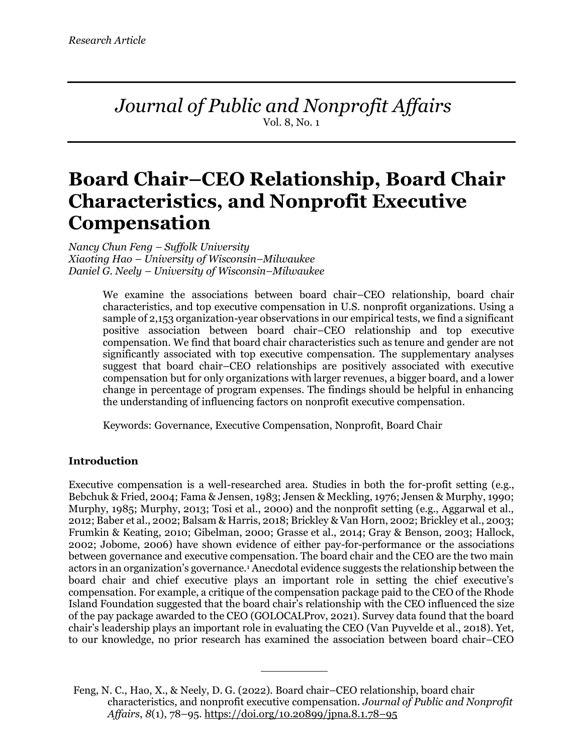*Journal of Public and Nonprofit Affairs* Vol. 8, No. 1

# **Board Chair–CEO Relationship, Board Chair Characteristics, and Nonprofit Executive Compensation**

*Nancy Chun Feng – Suffolk University Xiaoting Hao – University of Wisconsin–Milwaukee Daniel G. Neely – University of Wisconsin–Milwaukee*

> We examine the associations between board chair–CEO relationship, board chair characteristics, and top executive compensation in U.S. nonprofit organizations. Using a sample of 2,153 organization-year observations in our empirical tests, we find a significant positive association between board chair–CEO relationship and top executive compensation. We find that board chair characteristics such as tenure and gender are not significantly associated with top executive compensation. The supplementary analyses suggest that board chair–CEO relationships are positively associated with executive compensation but for only organizations with larger revenues, a bigger board, and a lower change in percentage of program expenses. The findings should be helpful in enhancing the understanding of influencing factors on nonprofit executive compensation.

Keywords: Governance, Executive Compensation, Nonprofit, Board Chair

## **Introduction**

Executive compensation is a well-researched area. Studies in both the for-profit setting (e.g., Bebchuk & Fried, 2004; Fama & Jensen, 1983; Jensen & Meckling, 1976; Jensen & Murphy, 1990; Murphy, 1985; Murphy, 2013; Tosi et al., 2000) and the nonprofit setting (e.g., Aggarwal et al., 2012; Baber et al., 2002; Balsam & Harris, 2018; Brickley & Van Horn, 2002; Brickley et al., 2003; Frumkin & Keating, 2010; Gibelman, 2000; Grasse et al., 2014; Gray & Benson, 2003; Hallock, 2002; Jobome, 2006) have shown evidence of either pay-for-performance or the associations between governance and executive compensation. The board chair and the CEO are the two main actors in an organization's governance.<sup>1</sup> Anecdotal evidence suggests the relationship between the board chair and chief executive plays an important role in setting the chief executive's compensation. For example, a critique of the compensation package paid to the CEO of the Rhode Island Foundation suggested that the board chair's relationship with the CEO influenced the size of the pay package awarded to the CEO (GOLOCALProv, 2021). Survey data found that the board chair's leadership plays an important role in evaluating the CEO (Van Puyvelde et al., 2018). Yet, to our knowledge, no prior research has examined the association between board chair–CEO

Feng, N. C., Hao, X., & Neely, D. G. (2022). Board chair–CEO relationship, board chair characteristics, and nonprofit executive compensation. *Journal of Public and Nonprofit Affairs*, *8*(1), 78–95. https://doi.org/10.20899/jpna.8.1.78–95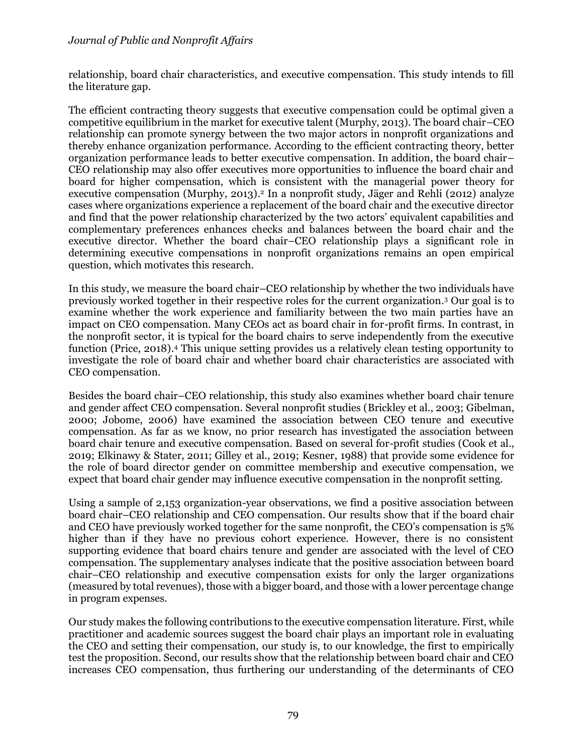relationship, board chair characteristics, and executive compensation. This study intends to fill the literature gap.

The efficient contracting theory suggests that executive compensation could be optimal given a competitive equilibrium in the market for executive talent (Murphy, 2013). The board chair–CEO relationship can promote synergy between the two major actors in nonprofit organizations and thereby enhance organization performance. According to the efficient contracting theory, better organization performance leads to better executive compensation. In addition, the board chair– CEO relationship may also offer executives more opportunities to influence the board chair and board for higher compensation, which is consistent with the managerial power theory for executive compensation (Murphy, 2013). <sup>2</sup> In a nonprofit study, Jäger and Rehli (2012) analyze cases where organizations experience a replacement of the board chair and the executive director and find that the power relationship characterized by the two actors' equivalent capabilities and complementary preferences enhances checks and balances between the board chair and the executive director. Whether the board chair–CEO relationship plays a significant role in determining executive compensations in nonprofit organizations remains an open empirical question, which motivates this research.

In this study, we measure the board chair–CEO relationship by whether the two individuals have previously worked together in their respective roles for the current organization. <sup>3</sup> Our goal is to examine whether the work experience and familiarity between the two main parties have an impact on CEO compensation. Many CEOs act as board chair in for-profit firms. In contrast, in the nonprofit sector, it is typical for the board chairs to serve independently from the executive function (Price, 2018). <sup>4</sup> This unique setting provides us a relatively clean testing opportunity to investigate the role of board chair and whether board chair characteristics are associated with CEO compensation.

Besides the board chair–CEO relationship, this study also examines whether board chair tenure and gender affect CEO compensation. Several nonprofit studies (Brickley et al., 2003; Gibelman, 2000; Jobome, 2006) have examined the association between CEO tenure and executive compensation. As far as we know, no prior research has investigated the association between board chair tenure and executive compensation. Based on several for-profit studies (Cook et al., 2019; Elkinawy & Stater, 2011; Gilley et al., 2019; Kesner, 1988) that provide some evidence for the role of board director gender on committee membership and executive compensation, we expect that board chair gender may influence executive compensation in the nonprofit setting.

Using a sample of 2,153 organization-year observations, we find a positive association between board chair–CEO relationship and CEO compensation. Our results show that if the board chair and CEO have previously worked together for the same nonprofit, the CEO's compensation is 5% higher than if they have no previous cohort experience. However, there is no consistent supporting evidence that board chairs tenure and gender are associated with the level of CEO compensation. The supplementary analyses indicate that the positive association between board chair–CEO relationship and executive compensation exists for only the larger organizations (measured by total revenues), those with a bigger board, and those with a lower percentage change in program expenses.

Our study makes the following contributions to the executive compensation literature. First, while practitioner and academic sources suggest the board chair plays an important role in evaluating the CEO and setting their compensation, our study is, to our knowledge, the first to empirically test the proposition. Second, our results show that the relationship between board chair and CEO increases CEO compensation, thus furthering our understanding of the determinants of CEO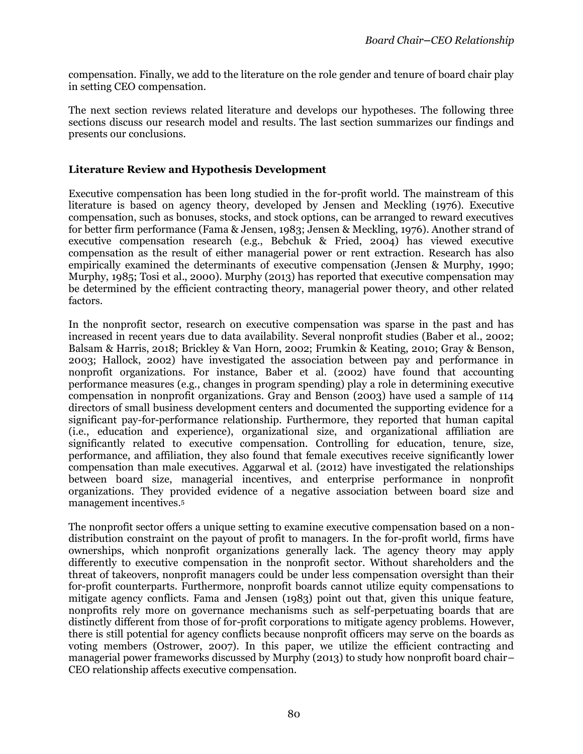compensation. Finally, we add to the literature on the role gender and tenure of board chair play in setting CEO compensation.

The next section reviews related literature and develops our hypotheses. The following three sections discuss our research model and results. The last section summarizes our findings and presents our conclusions.

## **Literature Review and Hypothesis Development**

Executive compensation has been long studied in the for-profit world. The mainstream of this literature is based on agency theory, developed by Jensen and Meckling (1976). Executive compensation, such as bonuses, stocks, and stock options, can be arranged to reward executives for better firm performance (Fama & Jensen, 1983; Jensen & Meckling, 1976). Another strand of executive compensation research (e.g., Bebchuk & Fried, 2004) has viewed executive compensation as the result of either managerial power or rent extraction. Research has also empirically examined the determinants of executive compensation (Jensen & Murphy, 1990; Murphy, 1985; Tosi et al., 2000). Murphy (2013) has reported that executive compensation may be determined by the efficient contracting theory, managerial power theory, and other related factors.

In the nonprofit sector, research on executive compensation was sparse in the past and has increased in recent years due to data availability. Several nonprofit studies (Baber et al., 2002; Balsam & Harris, 2018; Brickley & Van Horn, 2002; Frumkin & Keating, 2010; Gray & Benson, 2003; Hallock, 2002) have investigated the association between pay and performance in nonprofit organizations. For instance, Baber et al. (2002) have found that accounting performance measures (e.g., changes in program spending) play a role in determining executive compensation in nonprofit organizations. Gray and Benson (2003) have used a sample of 114 directors of small business development centers and documented the supporting evidence for a significant pay-for-performance relationship. Furthermore, they reported that human capital (i.e., education and experience), organizational size, and organizational affiliation are significantly related to executive compensation. Controlling for education, tenure, size, performance, and affiliation, they also found that female executives receive significantly lower compensation than male executives. Aggarwal et al. (2012) have investigated the relationships between board size, managerial incentives, and enterprise performance in nonprofit organizations. They provided evidence of a negative association between board size and management incentives. 5

The nonprofit sector offers a unique setting to examine executive compensation based on a nondistribution constraint on the payout of profit to managers. In the for-profit world, firms have ownerships, which nonprofit organizations generally lack. The agency theory may apply differently to executive compensation in the nonprofit sector. Without shareholders and the threat of takeovers, nonprofit managers could be under less compensation oversight than their for-profit counterparts. Furthermore, nonprofit boards cannot utilize equity compensations to mitigate agency conflicts. Fama and Jensen (1983) point out that, given this unique feature, nonprofits rely more on governance mechanisms such as self-perpetuating boards that are distinctly different from those of for-profit corporations to mitigate agency problems. However, there is still potential for agency conflicts because nonprofit officers may serve on the boards as voting members (Ostrower, 2007). In this paper, we utilize the efficient contracting and managerial power frameworks discussed by Murphy (2013) to study how nonprofit board chair– CEO relationship affects executive compensation.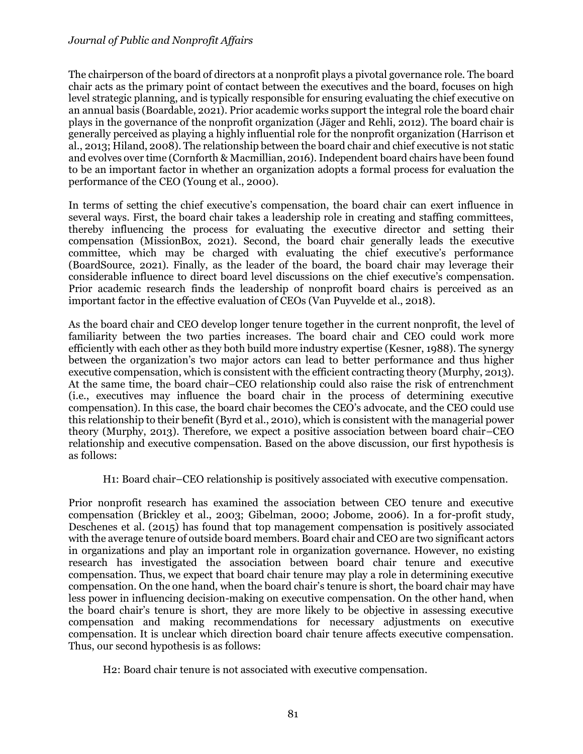The chairperson of the board of directors at a nonprofit plays a pivotal governance role. The board chair acts as the primary point of contact between the executives and the board, focuses on high level strategic planning, and is typically responsible for ensuring evaluating the chief executive on an annual basis (Boardable, 2021). Prior academic works support the integral role the board chair plays in the governance of the nonprofit organization (Jäger and Rehli, 2012). The board chair is generally perceived as playing a highly influential role for the nonprofit organization (Harrison et al., 2013; Hiland, 2008). The relationship between the board chair and chief executive is not static and evolves over time (Cornforth & Macmillian, 2016). Independent board chairs have been found to be an important factor in whether an organization adopts a formal process for evaluation the performance of the CEO (Young et al., 2000).

In terms of setting the chief executive's compensation, the board chair can exert influence in several ways. First, the board chair takes a leadership role in creating and staffing committees, thereby influencing the process for evaluating the executive director and setting their compensation (MissionBox, 2021). Second, the board chair generally leads the executive committee, which may be charged with evaluating the chief executive's performance (BoardSource, 2021). Finally, as the leader of the board, the board chair may leverage their considerable influence to direct board level discussions on the chief executive's compensation. Prior academic research finds the leadership of nonprofit board chairs is perceived as an important factor in the effective evaluation of CEOs (Van Puyvelde et al., 2018).

As the board chair and CEO develop longer tenure together in the current nonprofit, the level of familiarity between the two parties increases. The board chair and CEO could work more efficiently with each other as they both build more industry expertise (Kesner, 1988). The synergy between the organization's two major actors can lead to better performance and thus higher executive compensation, which is consistent with the efficient contracting theory (Murphy, 2013). At the same time, the board chair–CEO relationship could also raise the risk of entrenchment (i.e., executives may influence the board chair in the process of determining executive compensation). In this case, the board chair becomes the CEO's advocate, and the CEO could use this relationship to their benefit (Byrd et al., 2010), which is consistent with the managerial power theory (Murphy, 2013). Therefore, we expect a positive association between board chair–CEO relationship and executive compensation. Based on the above discussion, our first hypothesis is as follows:

H1: Board chair–CEO relationship is positively associated with executive compensation.

Prior nonprofit research has examined the association between CEO tenure and executive compensation (Brickley et al., 2003; Gibelman, 2000; Jobome, 2006). In a for-profit study, Deschenes et al. (2015) has found that top management compensation is positively associated with the average tenure of outside board members. Board chair and CEO are two significant actors in organizations and play an important role in organization governance. However, no existing research has investigated the association between board chair tenure and executive compensation. Thus, we expect that board chair tenure may play a role in determining executive compensation. On the one hand, when the board chair's tenure is short, the board chair may have less power in influencing decision-making on executive compensation. On the other hand, when the board chair's tenure is short, they are more likely to be objective in assessing executive compensation and making recommendations for necessary adjustments on executive compensation. It is unclear which direction board chair tenure affects executive compensation. Thus, our second hypothesis is as follows:

H2: Board chair tenure is not associated with executive compensation.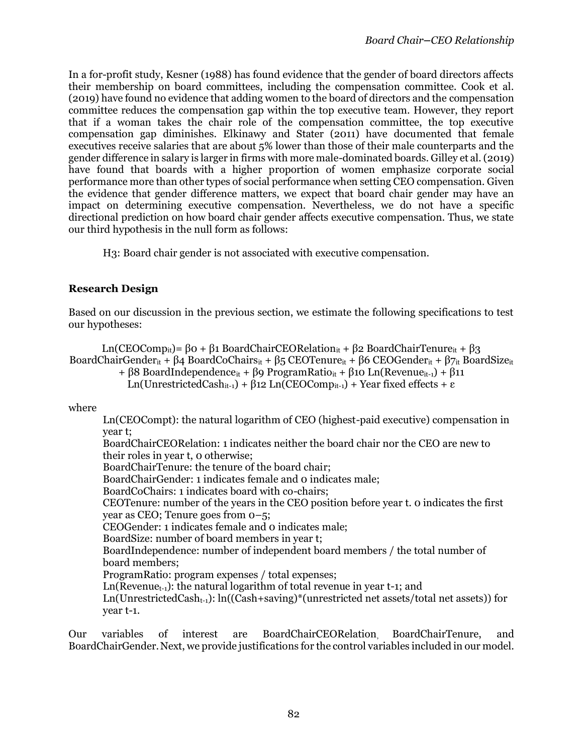In a for-profit study, Kesner (1988) has found evidence that the gender of board directors affects their membership on board committees, including the compensation committee. Cook et al. (2019) have found no evidence that adding women to the board of directors and the compensation committee reduces the compensation gap within the top executive team. However, they report that if a woman takes the chair role of the compensation committee, the top executive compensation gap diminishes. Elkinawy and Stater (2011) have documented that female executives receive salaries that are about 5% lower than those of their male counterparts and the gender difference in salary is larger in firms with more male-dominated boards. Gilley et al. (2019) have found that boards with a higher proportion of women emphasize corporate social performance more than other types of social performance when setting CEO compensation. Given the evidence that gender difference matters, we expect that board chair gender may have an impact on determining executive compensation. Nevertheless, we do not have a specific directional prediction on how board chair gender affects executive compensation. Thus, we state our third hypothesis in the null form as follows:

H3: Board chair gender is not associated with executive compensation.

# **Research Design**

Based on our discussion in the previous section, we estimate the following specifications to test our hypotheses:

Ln(CEOComp<sub>it</sub>)=  $\beta$ 0 +  $\beta$ 1 BoardChairCEORelation<sub>it</sub> +  $\beta$ 2 BoardChairTenure<sub>it</sub> +  $\beta$ 3 BoardChairGender<sub>it</sub> + β4 BoardCoChairs<sub>it</sub> + β5 CEOTenure<sub>it</sub> + β6 CEOGender<sub>it</sub> + β7<sub>it</sub> BoardSize<sub>it</sub> + β8 BoardIndependence<sub>it</sub> + β9 ProgramRatio<sub>it</sub> + β10 Ln(Revenue<sub>it-1</sub>) + β11

Ln(UnrestrictedCash<sub>it-1</sub>) +  $\beta$ 12 Ln(CEOComp<sub>it-1</sub>) + Year fixed effects +  $\varepsilon$ 

where

Ln(CEOCompt): the natural logarithm of CEO (highest-paid executive) compensation in year t;

BoardChairCEORelation: 1 indicates neither the board chair nor the CEO are new to their roles in year t, 0 otherwise;

BoardChairTenure: the tenure of the board chair;

BoardChairGender: 1 indicates female and 0 indicates male;

BoardCoChairs: 1 indicates board with co-chairs;

CEOTenure: number of the years in the CEO position before year t. 0 indicates the first year as CEO; Tenure goes from 0–5;

CEOGender: 1 indicates female and 0 indicates male;

BoardSize: number of board members in year t;

BoardIndependence: number of independent board members / the total number of board members;

ProgramRatio: program expenses / total expenses;

 $Ln(Revenue<sub>t-1</sub>)$ : the natural logarithm of total revenue in year t-1; and

 $Ln(UnrestrictedCash_{t-1}): ln((Cash + saving)*(unrestricted net assets/total net assets))$  for year t-1.

Our variables of interest are BoardChairCEORelation, BoardChairTenure, and BoardChairGender.Next, we provide justifications for the control variables included in our model.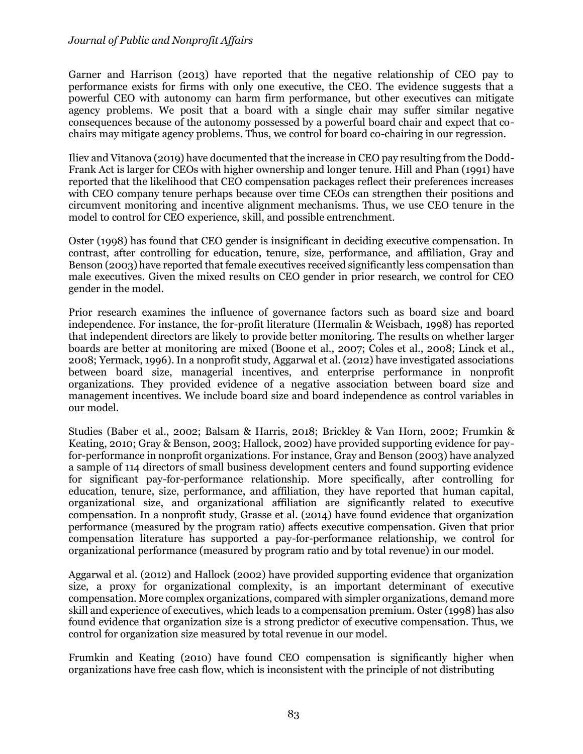Garner and Harrison (2013) have reported that the negative relationship of CEO pay to performance exists for firms with only one executive, the CEO. The evidence suggests that a powerful CEO with autonomy can harm firm performance, but other executives can mitigate agency problems. We posit that a board with a single chair may suffer similar negative consequences because of the autonomy possessed by a powerful board chair and expect that cochairs may mitigate agency problems. Thus, we control for board co-chairing in our regression.

Iliev and Vitanova (2019) have documented that the increase in CEO pay resulting from the Dodd-Frank Act is larger for CEOs with higher ownership and longer tenure. Hill and Phan (1991) have reported that the likelihood that CEO compensation packages reflect their preferences increases with CEO company tenure perhaps because over time CEOs can strengthen their positions and circumvent monitoring and incentive alignment mechanisms. Thus, we use CEO tenure in the model to control for CEO experience, skill, and possible entrenchment.

Oster (1998) has found that CEO gender is insignificant in deciding executive compensation. In contrast, after controlling for education, tenure, size, performance, and affiliation, Gray and Benson (2003) have reported that female executives received significantly less compensation than male executives. Given the mixed results on CEO gender in prior research, we control for CEO gender in the model.

Prior research examines the influence of governance factors such as board size and board independence. For instance, the for-profit literature (Hermalin & Weisbach, 1998) has reported that independent directors are likely to provide better monitoring. The results on whether larger boards are better at monitoring are mixed (Boone et al., 2007; Coles et al., 2008; Linck et al., 2008; Yermack, 1996). In a nonprofit study, Aggarwal et al. (2012) have investigated associations between board size, managerial incentives, and enterprise performance in nonprofit organizations. They provided evidence of a negative association between board size and management incentives. We include board size and board independence as control variables in our model.

Studies (Baber et al., 2002; Balsam & Harris, 2018; Brickley & Van Horn, 2002; Frumkin & Keating, 2010; Gray & Benson, 2003; Hallock, 2002) have provided supporting evidence for payfor-performance in nonprofit organizations. For instance, Gray and Benson (2003) have analyzed a sample of 114 directors of small business development centers and found supporting evidence for significant pay-for-performance relationship. More specifically, after controlling for education, tenure, size, performance, and affiliation, they have reported that human capital, organizational size, and organizational affiliation are significantly related to executive compensation. In a nonprofit study, Grasse et al. (2014) have found evidence that organization performance (measured by the program ratio) affects executive compensation. Given that prior compensation literature has supported a pay-for-performance relationship, we control for organizational performance (measured by program ratio and by total revenue) in our model.

Aggarwal et al. (2012) and Hallock (2002) have provided supporting evidence that organization size, a proxy for organizational complexity, is an important determinant of executive compensation. More complex organizations, compared with simpler organizations, demand more skill and experience of executives, which leads to a compensation premium. Oster (1998) has also found evidence that organization size is a strong predictor of executive compensation. Thus, we control for organization size measured by total revenue in our model.

Frumkin and Keating (2010) have found CEO compensation is significantly higher when organizations have free cash flow, which is inconsistent with the principle of not distributing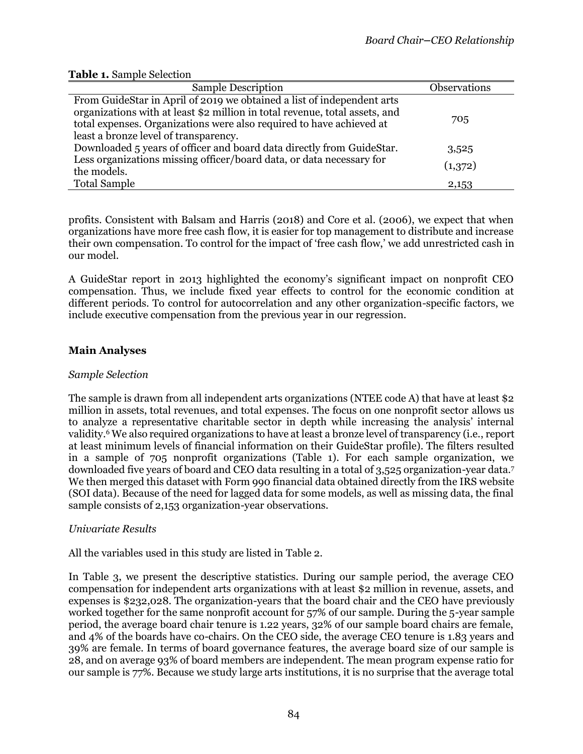| <b>Sample Description</b>                                                   | Observations |
|-----------------------------------------------------------------------------|--------------|
| From GuideStar in April of 2019 we obtained a list of independent arts      |              |
| organizations with at least \$2 million in total revenue, total assets, and |              |
| total expenses. Organizations were also required to have achieved at        | 705          |
| least a bronze level of transparency.                                       |              |
| Downloaded 5 years of officer and board data directly from GuideStar.       | 3,525        |
| Less organizations missing officer/board data, or data necessary for        | (1,372)      |
| the models.                                                                 |              |
| <b>Total Sample</b>                                                         | 2,153        |

profits. Consistent with Balsam and Harris (2018) and Core et al. (2006), we expect that when organizations have more free cash flow, it is easier for top management to distribute and increase their own compensation. To control for the impact of 'free cash flow,' we add unrestricted cash in our model.

A GuideStar report in 2013 highlighted the economy's significant impact on nonprofit CEO compensation. Thus, we include fixed year effects to control for the economic condition at different periods. To control for autocorrelation and any other organization-specific factors, we include executive compensation from the previous year in our regression.

## **Main Analyses**

#### *Sample Selection*

The sample is drawn from all independent arts organizations (NTEE code A) that have at least \$2 million in assets, total revenues, and total expenses. The focus on one nonprofit sector allows us to analyze a representative charitable sector in depth while increasing the analysis' internal validity.<sup>6</sup> We also required organizations to have at least a bronze level of transparency (i.e., report at least minimum levels of financial information on their GuideStar profile). The filters resulted in a sample of 705 nonprofit organizations (Table 1). For each sample organization, we downloaded five years of board and CEO data resulting in a total of 3,525 organization-year data.<sup>7</sup> We then merged this dataset with Form 990 financial data obtained directly from the IRS website (SOI data). Because of the need for lagged data for some models, as well as missing data, the final sample consists of 2,153 organization-year observations.

## *Univariate Results*

All the variables used in this study are listed in Table 2.

In Table 3, we present the descriptive statistics. During our sample period, the average CEO compensation for independent arts organizations with at least \$2 million in revenue, assets, and expenses is \$232,028. The organization-years that the board chair and the CEO have previously worked together for the same nonprofit account for 57% of our sample. During the 5-year sample period, the average board chair tenure is 1.22 years, 32% of our sample board chairs are female, and 4% of the boards have co-chairs. On the CEO side, the average CEO tenure is 1.83 years and 39% are female. In terms of board governance features, the average board size of our sample is 28, and on average 93% of board members are independent. The mean program expense ratio for our sample is 77%. Because we study large arts institutions, it is no surprise that the average total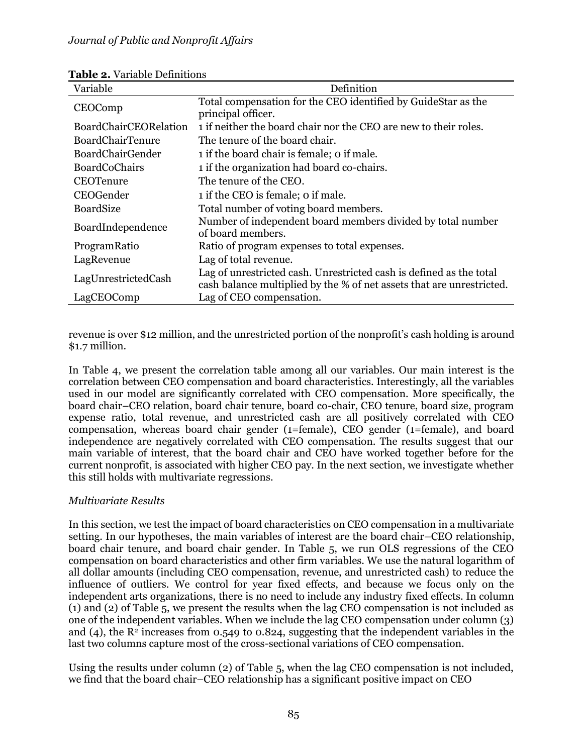| Variable                     | Definition                                                                                                                                   |
|------------------------------|----------------------------------------------------------------------------------------------------------------------------------------------|
| CEOComp                      | Total compensation for the CEO identified by GuideStar as the                                                                                |
|                              | principal officer.                                                                                                                           |
| <b>BoardChairCEORelation</b> | 1 if neither the board chair nor the CEO are new to their roles.                                                                             |
| BoardChairTenure             | The tenure of the board chair.                                                                                                               |
| BoardChairGender             | 1 if the board chair is female; 0 if male.                                                                                                   |
| <b>BoardCoChairs</b>         | 1 if the organization had board co-chairs.                                                                                                   |
| <b>CEOTenure</b>             | The tenure of the CEO.                                                                                                                       |
| CEOGender                    | 1 if the CEO is female; o if male.                                                                                                           |
| BoardSize                    | Total number of voting board members.                                                                                                        |
| BoardIndependence            | Number of independent board members divided by total number                                                                                  |
|                              | of board members.                                                                                                                            |
| ProgramRatio                 | Ratio of program expenses to total expenses.                                                                                                 |
| LagRevenue                   | Lag of total revenue.                                                                                                                        |
| LagUnrestrictedCash          | Lag of unrestricted cash. Unrestricted cash is defined as the total<br>cash balance multiplied by the % of net assets that are unrestricted. |
| LagCEOComp                   | Lag of CEO compensation.                                                                                                                     |

**Table 2.** Variable Definitions

revenue is over \$12 million, and the unrestricted portion of the nonprofit's cash holding is around \$1.7 million.

In Table 4, we present the correlation table among all our variables. Our main interest is the correlation between CEO compensation and board characteristics. Interestingly, all the variables used in our model are significantly correlated with CEO compensation. More specifically, the board chair–CEO relation, board chair tenure, board co-chair, CEO tenure, board size, program expense ratio, total revenue, and unrestricted cash are all positively correlated with CEO compensation, whereas board chair gender (1=female), CEO gender (1=female), and board independence are negatively correlated with CEO compensation. The results suggest that our main variable of interest, that the board chair and CEO have worked together before for the current nonprofit, is associated with higher CEO pay. In the next section, we investigate whether this still holds with multivariate regressions.

## *Multivariate Results*

In this section, we test the impact of board characteristics on CEO compensation in a multivariate setting. In our hypotheses, the main variables of interest are the board chair–CEO relationship, board chair tenure, and board chair gender. In Table 5, we run OLS regressions of the CEO compensation on board characteristics and other firm variables. We use the natural logarithm of all dollar amounts (including CEO compensation, revenue, and unrestricted cash) to reduce the influence of outliers. We control for year fixed effects, and because we focus only on the independent arts organizations, there is no need to include any industry fixed effects. In column (1) and (2) of Table 5, we present the results when the lag CEO compensation is not included as one of the independent variables. When we include the lag CEO compensation under column (3) and (4), the  $\mathbb{R}^2$  increases from 0.549 to 0.824, suggesting that the independent variables in the last two columns capture most of the cross-sectional variations of CEO compensation.

Using the results under column (2) of Table 5, when the lag CEO compensation is not included, we find that the board chair–CEO relationship has a significant positive impact on CEO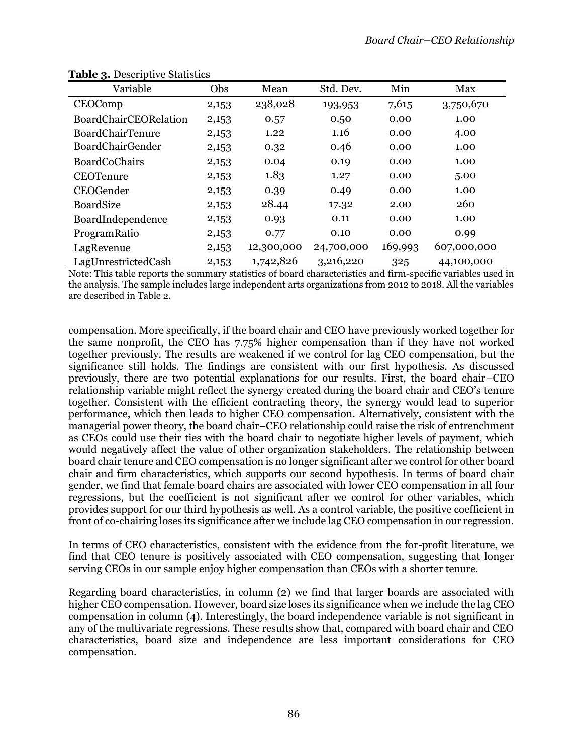| Variable                | Obs   | Mean       | Std. Dev.  | Min                 | Max                               |
|-------------------------|-------|------------|------------|---------------------|-----------------------------------|
| CEOComp                 | 2,153 | 238,028    | 193,953    | 7,615               | 3,750,670                         |
| BoardChairCEORelation   | 2,153 | 0.57       | 0.50       | 0.00                | 1.00                              |
| <b>BoardChairTenure</b> | 2,153 | 1.22       | 1.16       | 0.00                | 4.00                              |
| <b>BoardChairGender</b> | 2,153 | 0.32       | 0.46       | 0.00                | 1.00                              |
| <b>BoardCoChairs</b>    | 2,153 | 0.04       | 0.19       | 0.00                | 1.00                              |
| <b>CEOTenure</b>        | 2,153 | 1.83       | 1.27       | 0.00                | 5.00                              |
| CEOGender               | 2,153 | 0.39       | 0.49       | 0.00                | 1.00                              |
| BoardSize               | 2,153 | 28.44      | 17.32      | 2.00                | 260                               |
| BoardIndependence       | 2,153 | 0.93       | 0.11       | 0.00                | 1.00                              |
| ProgramRatio            | 2,153 | 0.77       | 0.10       | 0.00                | 0.99                              |
| LagRevenue              | 2,153 | 12,300,000 | 24,700,000 | 169,993             | 607,000,000                       |
| LagUnrestrictedCash     | 2,153 | 1,742,826  | 3,216,220  | 325<br>$\mathbf{r}$ | 44,100,000<br>$\cdot$ $\sim$<br>. |

#### **Table 3.** Descriptive Statistics

Note: This table reports the summary statistics of board characteristics and firm-specific variables used in the analysis. The sample includes large independent arts organizations from 2012 to 2018. All the variables are described in Table 2.

compensation. More specifically, if the board chair and CEO have previously worked together for the same nonprofit, the CEO has 7.75% higher compensation than if they have not worked together previously. The results are weakened if we control for lag CEO compensation, but the significance still holds. The findings are consistent with our first hypothesis. As discussed previously, there are two potential explanations for our results. First, the board chair–CEO relationship variable might reflect the synergy created during the board chair and CEO's tenure together. Consistent with the efficient contracting theory, the synergy would lead to superior performance, which then leads to higher CEO compensation. Alternatively, consistent with the managerial power theory, the board chair–CEO relationship could raise the risk of entrenchment as CEOs could use their ties with the board chair to negotiate higher levels of payment, which would negatively affect the value of other organization stakeholders. The relationship between board chair tenure and CEO compensation is no longer significant after we control for other board chair and firm characteristics, which supports our second hypothesis. In terms of board chair gender, we find that female board chairs are associated with lower CEO compensation in all four regressions, but the coefficient is not significant after we control for other variables, which provides support for our third hypothesis as well. As a control variable, the positive coefficient in front of co-chairing loses its significance after we include lag CEO compensation in our regression.

In terms of CEO characteristics, consistent with the evidence from the for-profit literature, we find that CEO tenure is positively associated with CEO compensation, suggesting that longer serving CEOs in our sample enjoy higher compensation than CEOs with a shorter tenure.

Regarding board characteristics, in column (2) we find that larger boards are associated with higher CEO compensation. However, board size loses its significance when we include the lag CEO compensation in column (4). Interestingly, the board independence variable is not significant in any of the multivariate regressions. These results show that, compared with board chair and CEO characteristics, board size and independence are less important considerations for CEO compensation.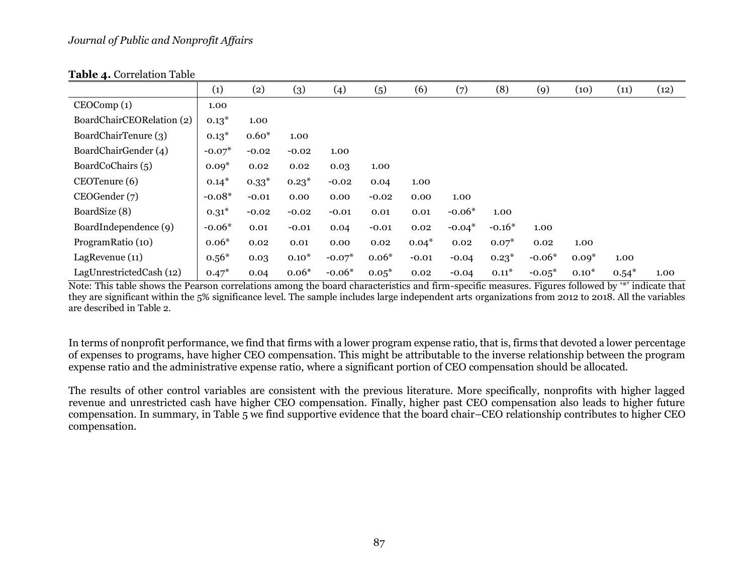**Table 4.** Correlation Table

|                           | (1)      | (2)     | (3)     | (4)      | (5)     | (6)     | (7)      | (8)      | (9)      | (10)    | (11)    | (12) |
|---------------------------|----------|---------|---------|----------|---------|---------|----------|----------|----------|---------|---------|------|
| CEOComp(1)                | 1.00     |         |         |          |         |         |          |          |          |         |         |      |
| BoardChairCEORelation (2) | $0.13*$  | 1.00    |         |          |         |         |          |          |          |         |         |      |
| BoardChairTenure (3)      | $0.13*$  | $0.60*$ | 1.00    |          |         |         |          |          |          |         |         |      |
| BoardChairGender (4)      | $-0.07*$ | $-0.02$ | $-0.02$ | 1.00     |         |         |          |          |          |         |         |      |
| BoardCoChairs (5)         | $0.09*$  | 0.02    | 0.02    | 0.03     | 1.00    |         |          |          |          |         |         |      |
| CEOTenure (6)             | $0.14*$  | $0.33*$ | $0.23*$ | $-0.02$  | 0.04    | 1.00    |          |          |          |         |         |      |
| CEOGender(7)              | $-0.08*$ | $-0.01$ | 0.00    | 0.00     | $-0.02$ | 0.00    | 1.00     |          |          |         |         |      |
| BoardSize (8)             | $0.31*$  | $-0.02$ | $-0.02$ | $-0.01$  | 0.01    | 0.01    | $-0.06*$ | 1.00     |          |         |         |      |
| BoardIndependence (9)     | $-0.06*$ | 0.01    | $-0.01$ | 0.04     | $-0.01$ | 0.02    | $-0.04*$ | $-0.16*$ | 1.00     |         |         |      |
| ProgramRatio (10)         | $0.06*$  | 0.02    | 0.01    | 0.00     | 0.02    | $0.04*$ | 0.02     | $0.07*$  | 0.02     | 1.00    |         |      |
| LagRevenue (11)           | $0.56*$  | 0.03    | $0.10*$ | $-0.07*$ | $0.06*$ | $-0.01$ | $-0.04$  | $0.23*$  | $-0.06*$ | $0.09*$ | 1.00    |      |
| LagUnrestrictedCash (12)  | $0.47*$  | 0.04    | $0.06*$ | $-0.06*$ | $0.05*$ | 0.02    | $-0.04$  | $0.11*$  | $-0.05*$ | $0.10*$ | $0.54*$ | 1.00 |

Note: This table shows the Pearson correlations among the board characteristics and firm-specific measures. Figures followed by '\*' indicate that they are significant within the 5% significance level. The sample includes large independent arts organizations from 2012 to 2018. All the variables are described in Table 2.

In terms of nonprofit performance, we find that firms with a lower program expense ratio, that is, firms that devoted a lower percentage of expenses to programs, have higher CEO compensation. This might be attributable to the inverse relationship between the program expense ratio and the administrative expense ratio, where a significant portion of CEO compensation should be allocated.

The results of other control variables are consistent with the previous literature. More specifically, nonprofits with higher lagged revenue and unrestricted cash have higher CEO compensation. Finally, higher past CEO compensation also leads to higher future compensation. In summary, in Table 5 we find supportive evidence that the board chair–CEO relationship contributes to higher CEO compensation.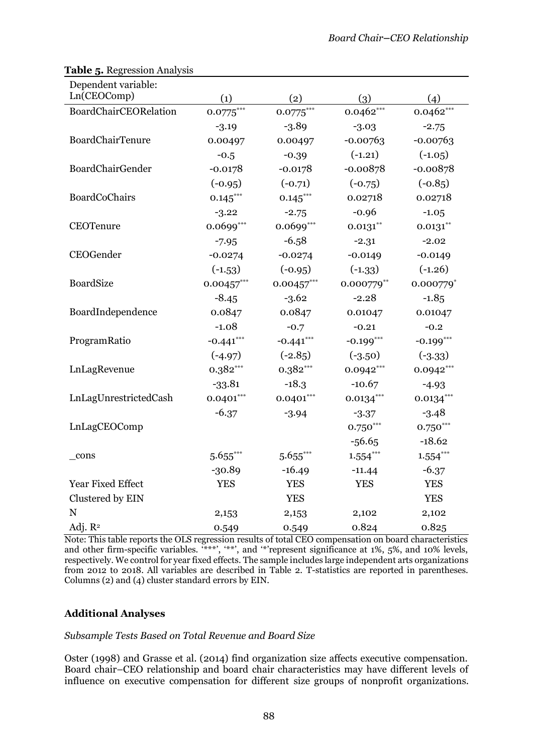| Dependent variable:   |              |              |               |              |
|-----------------------|--------------|--------------|---------------|--------------|
| Ln(CEOComp)           | (1)          | (2)          | (3)           | (4)          |
| BoardChairCEORelation | $0.0775***$  | $0.0775***$  | $0.0462***$   | $0.0462***$  |
|                       | $-3.19$      | $-3.89$      | $-3.03$       | $-2.75$      |
| BoardChairTenure      | 0.00497      | 0.00497      | $-0.00763$    | $-0.00763$   |
|                       | $-0.5$       | $-0.39$      | $(-1.21)$     | $(-1.05)$    |
| BoardChairGender      | $-0.0178$    | $-0.0178$    | $-0.00878$    | $-0.00878$   |
|                       | $(-0.95)$    | $(-0.71)$    | $(-0.75)$     | $(-0.85)$    |
| <b>BoardCoChairs</b>  | $0.145***$   | $0.145***$   | 0.02718       | 0.02718      |
|                       | $-3.22$      | $-2.75$      | $-0.96$       | $-1.05$      |
| CEOTenure             | $0.0699***$  | $0.0699***$  | $0.0131***$   | $0.0131***$  |
|                       | $-7.95$      | $-6.58$      | $-2.31$       | $-2.02$      |
| CEOGender             | $-0.0274$    | $-0.0274$    | $-0.0149$     | $-0.0149$    |
|                       | $(-1.53)$    | $(-0.95)$    | $(-1.33)$     | $(-1.26)$    |
| <b>BoardSize</b>      | $0.00457***$ | $0.00457***$ | $0.000779***$ | $0.000779$ * |
|                       | $-8.45$      | $-3.62$      | $-2.28$       | $-1.85$      |
| BoardIndependence     | 0.0847       | 0.0847       | 0.01047       | 0.01047      |
|                       | $-1.08$      | $-0.7$       | $-0.21$       | $-0.2$       |
| ProgramRatio          | $-0.441***$  | $-0.441***$  | $-0.199***$   | $-0.199***$  |
|                       | $(-4.97)$    | $(-2.85)$    | $(-3.50)$     | $(-3.33)$    |
| LnLagRevenue          | $0.382***$   | $0.382***$   | $0.0942***$   | $0.0942***$  |
|                       | $-33.81$     | $-18.3$      | $-10.67$      | $-4.93$      |
| LnLagUnrestrictedCash | $0.0401***$  | $0.0401***$  | $0.0134***$   | $0.0134***$  |
|                       | $-6.37$      | $-3.94$      | $-3.37$       | $-3.48$      |
| LnLagCEOComp          |              |              | $0.750***$    | $0.750***$   |
|                       |              |              | $-56.65$      | $-18.62$     |
| _cons                 | $5.655***$   | $5.655***$   | $1.554***$    | $1.554***$   |
|                       | $-30.89$     | $-16.49$     | $-11.44$      | $-6.37$      |
| Year Fixed Effect     | <b>YES</b>   | <b>YES</b>   | <b>YES</b>    | <b>YES</b>   |
| Clustered by EIN      |              | <b>YES</b>   |               | <b>YES</b>   |
| N                     | 2,153        | 2,153        | 2,102         | 2,102        |
| Adj. R <sup>2</sup>   | 0.549        | 0.549        | 0.824         | 0.825        |

#### **Table 5.** Regression Analysis

Note: This table reports the OLS regression results of total CEO compensation on board characteristics and other firm-specific variables. '\*\*\*', '\*\*', and '\*'represent significance at 1%, 5%, and 10% levels, respectively. We control for year fixed effects. The sample includes large independent arts organizations from 2012 to 2018. All variables are described in Table 2. T-statistics are reported in parentheses. Columns (2) and (4) cluster standard errors by EIN.

## **Additional Analyses**

## *Subsample Tests Based on Total Revenue and Board Size*

Oster (1998) and Grasse et al. (2014) find organization size affects executive compensation. Board chair–CEO relationship and board chair characteristics may have different levels of influence on executive compensation for different size groups of nonprofit organizations.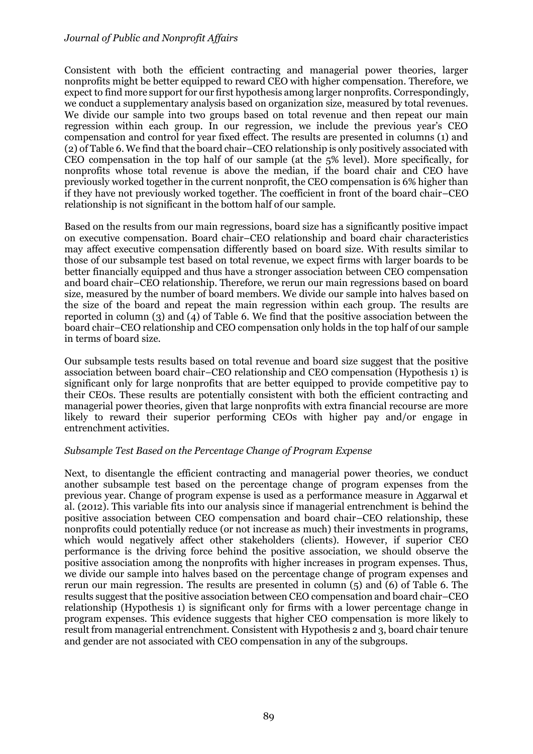Consistent with both the efficient contracting and managerial power theories, larger nonprofits might be better equipped to reward CEO with higher compensation. Therefore, we expect to find more support for our first hypothesis among larger nonprofits. Correspondingly, we conduct a supplementary analysis based on organization size, measured by total revenues. We divide our sample into two groups based on total revenue and then repeat our main regression within each group. In our regression, we include the previous year's CEO compensation and control for year fixed effect. The results are presented in columns (1) and (2) of Table 6. We find that the board chair–CEO relationship is only positively associated with CEO compensation in the top half of our sample (at the 5% level). More specifically, for nonprofits whose total revenue is above the median, if the board chair and CEO have previously worked together in the current nonprofit, the CEO compensation is 6% higher than if they have not previously worked together. The coefficient in front of the board chair–CEO relationship is not significant in the bottom half of our sample.

Based on the results from our main regressions, board size has a significantly positive impact on executive compensation. Board chair–CEO relationship and board chair characteristics may affect executive compensation differently based on board size. With results similar to those of our subsample test based on total revenue, we expect firms with larger boards to be better financially equipped and thus have a stronger association between CEO compensation and board chair–CEO relationship. Therefore, we rerun our main regressions based on board size, measured by the number of board members. We divide our sample into halves based on the size of the board and repeat the main regression within each group. The results are reported in column (3) and (4) of Table 6. We find that the positive association between the board chair–CEO relationship and CEO compensation only holds in the top half of our sample in terms of board size.

Our subsample tests results based on total revenue and board size suggest that the positive association between board chair–CEO relationship and CEO compensation (Hypothesis 1) is significant only for large nonprofits that are better equipped to provide competitive pay to their CEOs. These results are potentially consistent with both the efficient contracting and managerial power theories, given that large nonprofits with extra financial recourse are more likely to reward their superior performing CEOs with higher pay and/or engage in entrenchment activities.

#### *Subsample Test Based on the Percentage Change of Program Expense*

Next, to disentangle the efficient contracting and managerial power theories, we conduct another subsample test based on the percentage change of program expenses from the previous year. Change of program expense is used as a performance measure in Aggarwal et al. (2012). This variable fits into our analysis since if managerial entrenchment is behind the positive association between CEO compensation and board chair–CEO relationship, these nonprofits could potentially reduce (or not increase as much) their investments in programs, which would negatively affect other stakeholders (clients). However, if superior CEO performance is the driving force behind the positive association, we should observe the positive association among the nonprofits with higher increases in program expenses. Thus, we divide our sample into halves based on the percentage change of program expenses and rerun our main regression. The results are presented in column (5) and (6) of Table 6. The results suggest that the positive association between CEO compensation and board chair–CEO relationship (Hypothesis 1) is significant only for firms with a lower percentage change in program expenses. This evidence suggests that higher CEO compensation is more likely to result from managerial entrenchment. Consistent with Hypothesis 2 and 3, board chair tenure and gender are not associated with CEO compensation in any of the subgroups.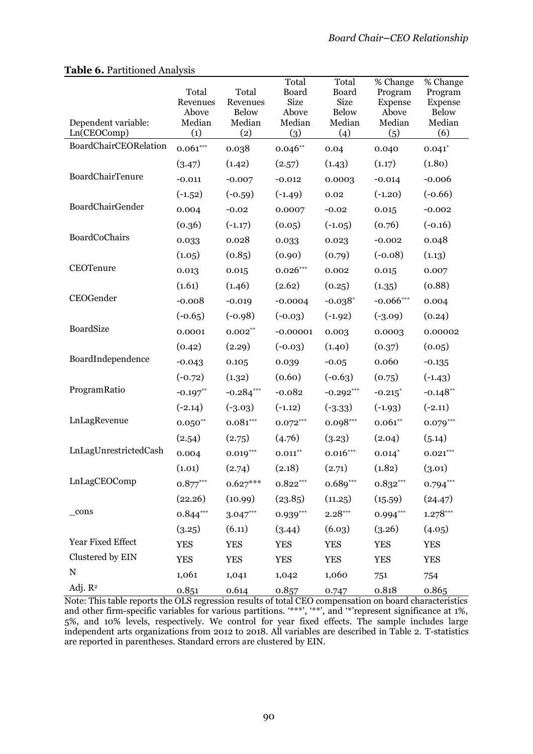| Dependent variable:<br>Ln(CEOComp) | Total<br>Revenues<br>Above<br>Median<br>(1) | Total<br>Revenues<br><b>Below</b><br>Median<br>$\left( 2\right)$ | Total<br><b>Board</b><br>Size<br>Above<br>Median<br>(3) | Total<br>Board<br>Size<br><b>Below</b><br>Median<br>(4) | % Change<br>Program<br>Expense<br>Above<br>Median<br>(5) | % Change<br>Program<br>Expense<br><b>Below</b><br>Median<br>(6) |
|------------------------------------|---------------------------------------------|------------------------------------------------------------------|---------------------------------------------------------|---------------------------------------------------------|----------------------------------------------------------|-----------------------------------------------------------------|
| BoardChairCEORelation              | $0.061***$                                  | 0.038                                                            | $0.046**$                                               | 0.04                                                    | 0.040                                                    | $0.041$ *                                                       |
|                                    | (3.47)                                      | (1.42)                                                           | (2.57)                                                  | (1.43)                                                  | (1.17)                                                   | (1.80)                                                          |
| BoardChairTenure                   | $-0.011$                                    | $-0.007$                                                         | $-0.012$                                                | 0.0003                                                  | $-0.014$                                                 | $-0.006$                                                        |
|                                    | $(-1.52)$                                   | $(-0.59)$                                                        | $(-1.49)$                                               | 0.02                                                    | $(-1.20)$                                                | $(-0.66)$                                                       |
| BoardChairGender                   | 0.004                                       | $-0.02$                                                          | 0.0007                                                  | $-0.02$                                                 | 0.015                                                    | $-0.002$                                                        |
|                                    | (0.36)                                      | $(-1.17)$                                                        | (0.05)                                                  | $(-1.05)$                                               | (0.76)                                                   | $(-0.16)$                                                       |
| BoardCoChairs                      | 0.033                                       | 0.028                                                            | 0.033                                                   | 0.023                                                   | $-0.002$                                                 | 0.048                                                           |
|                                    | (1.05)                                      | (0.85)                                                           | (0.90)                                                  | (0.79)                                                  | $(-0.08)$                                                | (1.13)                                                          |
| CEOTenure                          | 0.013                                       | 0.015                                                            | $0.026***$                                              | 0.002                                                   | 0.015                                                    | 0.007                                                           |
|                                    | (1.61)                                      | (1.46)                                                           | (2.62)                                                  | (0.25)                                                  | (1.35)                                                   | (0.88)                                                          |
| CEOGender                          | $-0.008$                                    | $-0.019$                                                         | $-0.0004$                                               | $-0.038*$                                               | $-0.066***$                                              | 0.004                                                           |
|                                    | $(-0.65)$                                   | $(-0.98)$                                                        | $(-0.03)$                                               | $(-1.92)$                                               | $(-3.09)$                                                | (0.24)                                                          |
| BoardSize                          | 0.0001                                      | $0.002***$                                                       | $-0.00001$                                              | 0.003                                                   | 0.0003                                                   | 0.00002                                                         |
|                                    | (0.42)                                      | (2.29)                                                           | $(-0.03)$                                               | (1.40)                                                  | (0.37)                                                   | (0.05)                                                          |
| BoardIndependence                  | $-0.043$                                    | 0.105                                                            | 0.039                                                   | $-0.05$                                                 | 0.060                                                    | $-0.135$                                                        |
|                                    | $(-0.72)$                                   | (1.32)                                                           | (0.60)                                                  | $(-0.63)$                                               | (0.75)                                                   | $(-1.43)$                                                       |
| ProgramRatio                       | $-0.197**$                                  | $-0.284***$                                                      | $-0.082$                                                | $-0.292***$                                             | $-0.215$ *                                               | $-0.148**$                                                      |
|                                    | $(-2.14)$                                   | $(-3.03)$                                                        | $(-1.12)$                                               | $(-3.33)$                                               | $(-1.93)$                                                | $(-2.11)$                                                       |
| LnLagRevenue                       | $0.050**$                                   | $0.081***$                                                       | $0.072***$                                              | $0.098***$                                              | $0.061**$                                                | $0.079***$                                                      |
|                                    | (2.54)                                      | (2.75)                                                           | (4.76)                                                  | (3.23)                                                  | (2.04)                                                   | (5.14)                                                          |
| LnLagUnrestrictedCash              | 0.004                                       | $0.019***$                                                       | $0.011***$                                              | $0.016***$                                              | $0.014*$                                                 | $0.021***$                                                      |
|                                    | (1.01)                                      | (2.74)                                                           | (2.18)                                                  | (2.71)                                                  | (1.82)                                                   | (3.01)                                                          |
| LnLagCEOComp                       | $0.877***$                                  | $0.627***$                                                       | $0.822***$                                              | $0.689***$                                              | $0.832***$                                               | $0.794***$                                                      |
|                                    | (22.26)                                     | (10.99)                                                          | (23.85)                                                 | (11.25)                                                 | (15.59)                                                  | (24.47)                                                         |
| _cons                              | $0.844***$                                  | $3.047***$                                                       | $0.939***$                                              | $2.28***$                                               | $0.994***$                                               | $1.278***$                                                      |
|                                    | (3.25)                                      | (6.11)                                                           | (3.44)                                                  | (6.03)                                                  | (3.26)                                                   | (4.05)                                                          |
| Year Fixed Effect                  | <b>YES</b>                                  | <b>YES</b>                                                       | <b>YES</b>                                              | <b>YES</b>                                              | <b>YES</b>                                               | <b>YES</b>                                                      |
| Clustered by EIN                   | <b>YES</b>                                  | <b>YES</b>                                                       | <b>YES</b>                                              | <b>YES</b>                                              | <b>YES</b>                                               | <b>YES</b>                                                      |
| ${\bf N}$                          | 1,061                                       | 1,041                                                            | 1,042                                                   | 1,060                                                   | 751                                                      | 754                                                             |
| Adj. R <sup>2</sup>                | 0.851                                       | 0.614                                                            | 0.857                                                   | 0.747                                                   | 0.818                                                    | 0.865                                                           |

#### **Table 6.** Partitioned Analysis

Note: This table reports the OLS regression results of total CEO compensation on board characteristics and other firm-specific variables for various partitions. "\*\*\*, "\*\*, and "\*'represent significance at 1%, 5%, and 10% levels, respectively. We control for year fixed effects. The sample includes large independent arts organizations from 2012 to 2018. All variables are described in Table 2. T-statistics are reported in parentheses. Standard errors are clustered by EIN.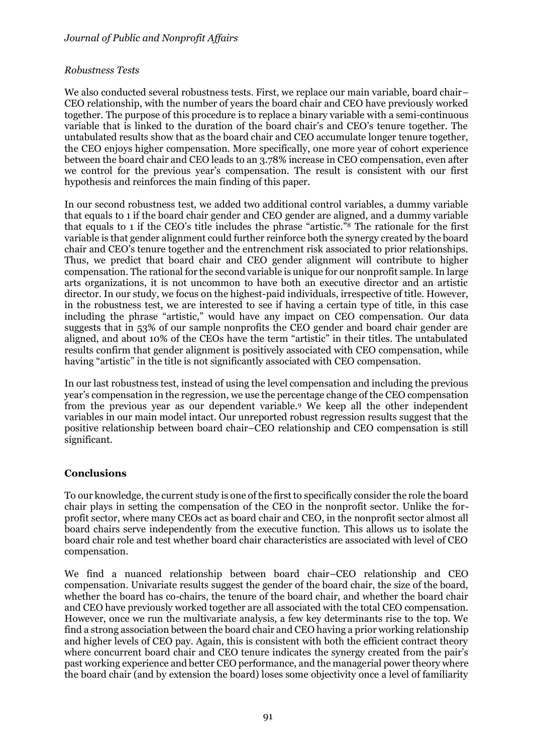## *Robustness Tests*

We also conducted several robustness tests. First, we replace our main variable, board chair– CEO relationship, with the number of years the board chair and CEO have previously worked together. The purpose of this procedure is to replace a binary variable with a semi-continuous variable that is linked to the duration of the board chair's and CEO's tenure together. The untabulated results show that as the board chair and CEO accumulate longer tenure together, the CEO enjoys higher compensation. More specifically, one more year of cohort experience between the board chair and CEO leads to an 3.78% increase in CEO compensation, even after we control for the previous year's compensation. The result is consistent with our first hypothesis and reinforces the main finding of this paper.

In our second robustness test, we added two additional control variables, a dummy variable that equals to 1 if the board chair gender and CEO gender are aligned, and a dummy variable that equals to 1 if the CEO's title includes the phrase "artistic."<sup>8</sup> The rationale for the first variable is that gender alignment could further reinforce both the synergy created by the board chair and CEO's tenure together and the entrenchment risk associated to prior relationships. Thus, we predict that board chair and CEO gender alignment will contribute to higher compensation. The rational for the second variable is unique for our nonprofit sample. In large arts organizations, it is not uncommon to have both an executive director and an artistic director. In our study, we focus on the highest-paid individuals, irrespective of title. However, in the robustness test, we are interested to see if having a certain type of title, in this case including the phrase "artistic," would have any impact on CEO compensation. Our data suggests that in 53% of our sample nonprofits the CEO gender and board chair gender are aligned, and about 10% of the CEOs have the term "artistic" in their titles. The untabulated results confirm that gender alignment is positively associated with CEO compensation, while having "artistic" in the title is not significantly associated with CEO compensation.

In our last robustness test, instead of using the level compensation and including the previous year's compensation in the regression, we use the percentage change of the CEO compensation from the previous year as our dependent variable.<sup>9</sup> We keep all the other independent variables in our main model intact. Our unreported robust regression results suggest that the positive relationship between board chair–CEO relationship and CEO compensation is still significant.

## **Conclusions**

To our knowledge, the current study is one of the first to specifically consider the role the board chair plays in setting the compensation of the CEO in the nonprofit sector. Unlike the forprofit sector, where many CEOs act as board chair and CEO, in the nonprofit sector almost all board chairs serve independently from the executive function. This allows us to isolate the board chair role and test whether board chair characteristics are associated with level of CEO compensation.

We find a nuanced relationship between board chair–CEO relationship and CEO compensation. Univariate results suggest the gender of the board chair, the size of the board, whether the board has co-chairs, the tenure of the board chair, and whether the board chair and CEO have previously worked together are all associated with the total CEO compensation. However, once we run the multivariate analysis, a few key determinants rise to the top. We find a strong association between the board chair and CEO having a prior working relationship and higher levels of CEO pay. Again, this is consistent with both the efficient contract theory where concurrent board chair and CEO tenure indicates the synergy created from the pair's past working experience and better CEO performance, and the managerial power theory where the board chair (and by extension the board) loses some objectivity once a level of familiarity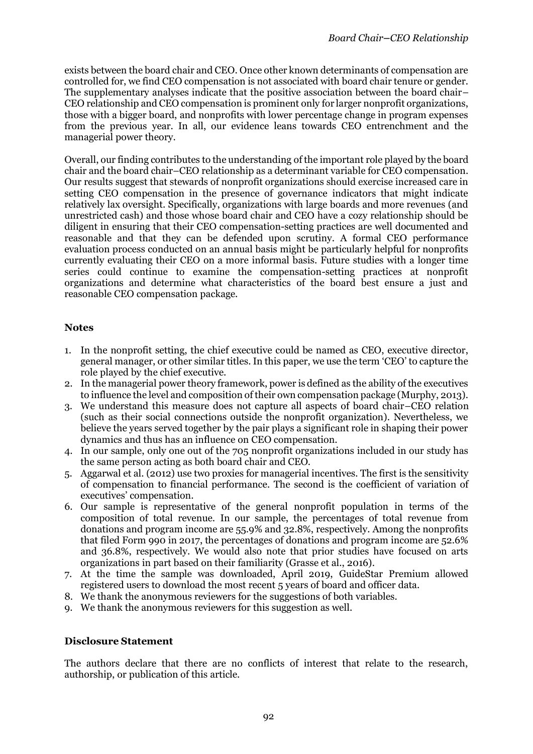exists between the board chair and CEO. Once other known determinants of compensation are controlled for, we find CEO compensation is not associated with board chair tenure or gender. The supplementary analyses indicate that the positive association between the board chair– CEO relationship and CEO compensation is prominent only for larger nonprofit organizations, those with a bigger board, and nonprofits with lower percentage change in program expenses from the previous year. In all, our evidence leans towards CEO entrenchment and the managerial power theory.

Overall, our finding contributes to the understanding of the important role played by the board chair and the board chair–CEO relationship as a determinant variable for CEO compensation. Our results suggest that stewards of nonprofit organizations should exercise increased care in setting CEO compensation in the presence of governance indicators that might indicate relatively lax oversight. Specifically, organizations with large boards and more revenues (and unrestricted cash) and those whose board chair and CEO have a cozy relationship should be diligent in ensuring that their CEO compensation-setting practices are well documented and reasonable and that they can be defended upon scrutiny. A formal CEO performance evaluation process conducted on an annual basis might be particularly helpful for nonprofits currently evaluating their CEO on a more informal basis. Future studies with a longer time series could continue to examine the compensation-setting practices at nonprofit organizations and determine what characteristics of the board best ensure a just and reasonable CEO compensation package.

## **Notes**

- 1. In the nonprofit setting, the chief executive could be named as CEO, executive director, general manager, or other similar titles. In this paper, we use the term 'CEO' to capture the role played by the chief executive.
- 2. In the managerial power theory framework, power is defined as the ability of the executives to influence the level and composition of their own compensation package (Murphy, 2013).
- 3. We understand this measure does not capture all aspects of board chair–CEO relation (such as their social connections outside the nonprofit organization). Nevertheless, we believe the years served together by the pair plays a significant role in shaping their power dynamics and thus has an influence on CEO compensation.
- 4. In our sample, only one out of the 705 nonprofit organizations included in our study has the same person acting as both board chair and CEO.
- 5. Aggarwal et al. (2012) use two proxies for managerial incentives. The first is the sensitivity of compensation to financial performance. The second is the coefficient of variation of executives' compensation.
- 6. Our sample is representative of the general nonprofit population in terms of the composition of total revenue. In our sample, the percentages of total revenue from donations and program income are 55.9% and 32.8%, respectively. Among the nonprofits that filed Form 990 in 2017, the percentages of donations and program income are 52.6% and 36.8%, respectively. We would also note that prior studies have focused on arts organizations in part based on their familiarity (Grasse et al., 2016).
- 7. At the time the sample was downloaded, April 2019, GuideStar Premium allowed registered users to download the most recent 5 years of board and officer data.
- 8. We thank the anonymous reviewers for the suggestions of both variables.
- 9. We thank the anonymous reviewers for this suggestion as well.

## **Disclosure Statement**

The authors declare that there are no conflicts of interest that relate to the research, authorship, or publication of this article.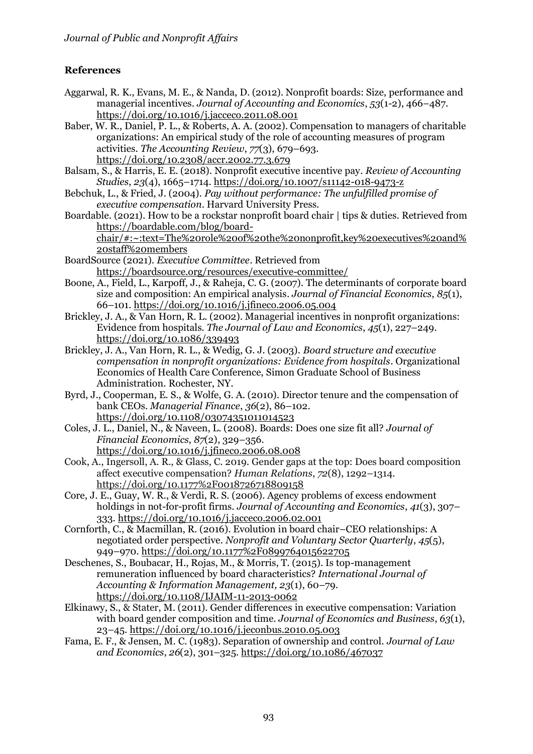## **References**

Aggarwal, R. K., Evans, M. E., & Nanda, D. (2012). Nonprofit boards: Size, performance and managerial incentives. *Journal of Accounting and Economics*, *53*(1-2), 466–487. https://doi.org/10.1016/j.jacceco.2011.08.001

Baber, W. R., Daniel, P. L., & Roberts, A. A. (2002). Compensation to managers of charitable organizations: An empirical study of the role of accounting measures of program activities. *The Accounting Review*, *77*(3), 679–693. https://doi.org/10.2308/accr.2002.77.3.679

- Balsam, S., & Harris, E. E. (2018). Nonprofit executive incentive pay. *Review of Accounting Studies*, *23*(4), 1665–1714. https://doi.org/10.1007/s11142-018-9473-z
- Bebchuk, L., & Fried, J. (2004). *Pay without performance: The unfulfilled promise of executive compensation*. Harvard University Press.
- Boardable. (2021). How to be a rockstar nonprofit board chair | tips & duties. Retrieved from https://boardable.com/blog/boardchair/#:~:text=The%20role%20of%20the%20nonprofit,key%20executives%20and% 20staff%20members
- BoardSource (2021). *Executive Committee*. Retrieved from https://boardsource.org/resources/executive-committee/
- Boone, A., Field, L., Karpoff, J., & Raheja, C. G. (2007). The determinants of corporate board size and composition: An empirical analysis. *Journal of Financial Economics*, *85*(1), 66–101. https://doi.org/10.1016/j.jfineco.2006.05.004
- Brickley, J. A., & Van Horn, R. L. (2002). Managerial incentives in nonprofit organizations: Evidence from hospitals. *The Journal of Law and Economics*, *45*(1), 227–249. https://doi.org/10.1086/339493
- Brickley, J. A., Van Horn, R. L., & Wedig, G. J. (2003). *Board structure and executive compensation in nonprofit organizations: Evidence from hospitals*. Organizational Economics of Health Care Conference, Simon Graduate School of Business Administration. Rochester, NY.
- Byrd, J., Cooperman, E. S., & Wolfe, G. A. (2010). Director tenure and the compensation of bank CEOs. *Managerial Finance*, *36*(2), 86–102. https://doi.org/10.1108/03074351011014523
- Coles, J. L., Daniel, N., & Naveen, L. (2008). Boards: Does one size fit all? *Journal of Financial Economics*, *87*(2), 329–356. https://doi.org/10.1016/j.jfineco.2006.08.008
- [Cook,](https://journals.sagepub.com/doi/10.1177/0018726718809158) A., [Ingersoll,](https://journals.sagepub.com/doi/10.1177/0018726718809158) A. R., & [Glass,](https://journals.sagepub.com/doi/10.1177/0018726718809158) C. 2019. Gender gaps at the top: Does board composition affect executive compensation? *Human Relations*, *72*(8), 1292–1314. https://doi.org/10.1177%2F0018726718809158
- Core, J. E., Guay, W. R., & Verdi, R. S. (2006). Agency problems of excess endowment holdings in not-for-profit firms. *Journal of Accounting and Economics*, *41*(3), 307– 333. https://doi.org/10.1016/j.jacceco.2006.02.001
- Cornforth, C., & Macmillan, R. (2016). Evolution in board chair–CEO relationships: A negotiated order perspective. *Nonprofit and Voluntary Sector Quarterly*, *45*(5), 949–970. https://doi.org/10.1177%2F0899764015622705
- Deschenes, S., Boubacar, H., Rojas, M., & Morris, T. (2015). Is top-management remuneration influenced by board characteristics? *International Journal of Accounting & Information Management, 23*(1), 60–79. https://doi.org/10.1108/IJAIM-11-2013-0062
- Elkinawy, S., & [Stater,](https://www.sciencedirect.com/science/article/abs/pii/S0148619510000457#!) M. (2011). Gender differences in executive compensation: Variation with board gender composition and time. *Journal of Economics and Business*, *63*(1), 23–45. https://doi.org/10.1016/j.jeconbus.2010.05.003
- Fama, E. F., & Jensen, M. C. (1983). Separation of ownership and control. *Journal of Law and Economics*, *26*(2), 301–325. https://doi.org/10.1086/467037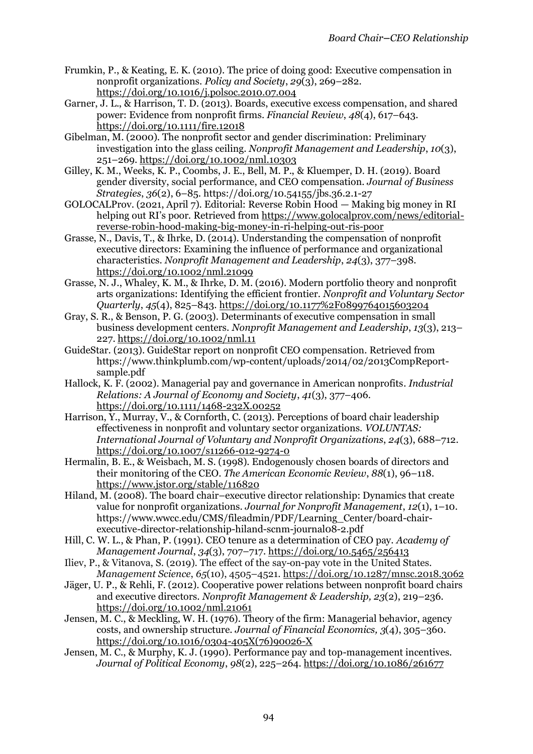- Frumkin, P., & Keating, E. K. (2010). The price of doing good: Executive compensation in nonprofit organizations. *Policy and Society*, *29*(3), 269–282. https://doi.org/10.1016/j.polsoc.2010.07.004
- Garner, J. L., & Harrison, T. D. (2013). Boards, executive excess compensation, and shared power: Evidence from nonprofit firms. *Financial Review*, *48*(4), 617–643. https://doi.org/10.1111/fire.12018
- Gibelman, M. (2000). The nonprofit sector and gender discrimination: Preliminary investigation into the glass ceiling. *Nonprofit Management and Leadership*, *10*(3), 251–269. https://doi.org/10.1002/nml.10303
- Gilley, K. M., Weeks, K. P., Coombs, J. E., Bell, M. P., & Kluemper, D. H. (2019). Board gender diversity, social performance, and CEO compensation. *Journal of Business Strategies*, *36*(2), 6–85. <https://doi.org/10.54155/jbs.36.2.1-27>
- GOLOCALProv. (2021, April 7). Editorial: Reverse Robin Hood Making big money in RI helping out RI's poor. Retrieved from https://www.golocalprov.com/news/editorialreverse-robin-hood-making-big-money-in-ri-helping-out-ris-poor
- Grasse, N., Davis, T., & Ihrke, D. (2014). Understanding the compensation of nonprofit executive directors: Examining the influence of performance and organizational characteristics. *Nonprofit Management and Leadership*, *24*(3), 377–398. https://doi.org/10.1002/nml.21099
- Grasse, N. J., Whaley, K. M., & Ihrke, D. M. (2016). Modern portfolio theory and nonprofit arts organizations: Identifying the efficient frontier. *Nonprofit and Voluntary Sector Quarterly*, *45*(4), 825–843. https://doi.org/10.1177%2F0899764015603204
- Gray, S. R., & Benson, P. G. (2003). Determinants of executive compensation in small business development centers. *Nonprofit Management and Leadership*, *13*(3), 213– 227. https://doi.org/10.1002/nml.11
- GuideStar. (2013). GuideStar report on nonprofit CEO compensation. Retrieved from https://www.thinkplumb.com/wp-content/uploads/2014/02/2013CompReportsample.pdf
- Hallock, K. F. (2002). Managerial pay and governance in American nonprofits. *Industrial Relations: A Journal of Economy and Society*, *41*(3), 377–406. https://doi.org/10.1111/1468-232X.00252
- Harrison, Y., Murray, V., & Cornforth, C. (2013). Perceptions of board chair leadership effectiveness in nonprofit and voluntary sector organizations. *VOLUNTAS: International Journal of Voluntary and Nonprofit Organizations*, *24*(3), 688–712. https://doi.org/10.1007/s11266-012-9274-0
- Hermalin, B. E., & Weisbach, M. S. (1998). Endogenously chosen boards of directors and their monitoring of the CEO. *The American Economic Review*, *88*(1), 96–118. https://www.jstor.org/stable/116820
- Hiland, M. (2008). The board chair–executive director relationship: Dynamics that create value for nonprofit organizations. *Journal for Nonprofit Management*, *12*(1), 1–10. https://www.wwcc.edu/CMS/fileadmin/PDF/Learning\_Center/board-chairexecutive-director-relationship-hiland-scnm-journal08-2.pdf
- Hill, C. W. L., & Phan, P. (1991). CEO tenure as a determination of CEO pay. *Academy of Management Journal*, *34*(3), 707–717. https://doi.org/10.5465/256413
- Iliev, P., & Vitanova, S. (2019). The effect of the say-on-pay vote in the United States. *[Management Science](file:///C:/Users/eallen6/Desktop/JPNA%20Vol%208,%201/577%20Article/Management%20Science)*, *65*(10), 4505–4521.<https://doi.org/10.1287/mnsc.2018.3062>
- Jäger, U. P., & Rehli, F. (2012). Cooperative power relations between nonprofit board chairs and executive directors. *Nonprofit Management & Leadership, 23*(2), 219–236. https://doi.org/10.1002/nml.21061
- Jensen, M. C., & Meckling, W. H. (1976). Theory of the firm: Managerial behavior, agency costs, and ownership structure. *Journal of Financial Economics, 3*(4), 305–360. https://doi.org/10.1016/0304-405X(76)90026-X
- Jensen, M. C., & Murphy, K. J. (1990). Performance pay and top-management incentives. *Journal of Political Economy*, *98*(2), 225–264. https://doi.org/10.1086/261677